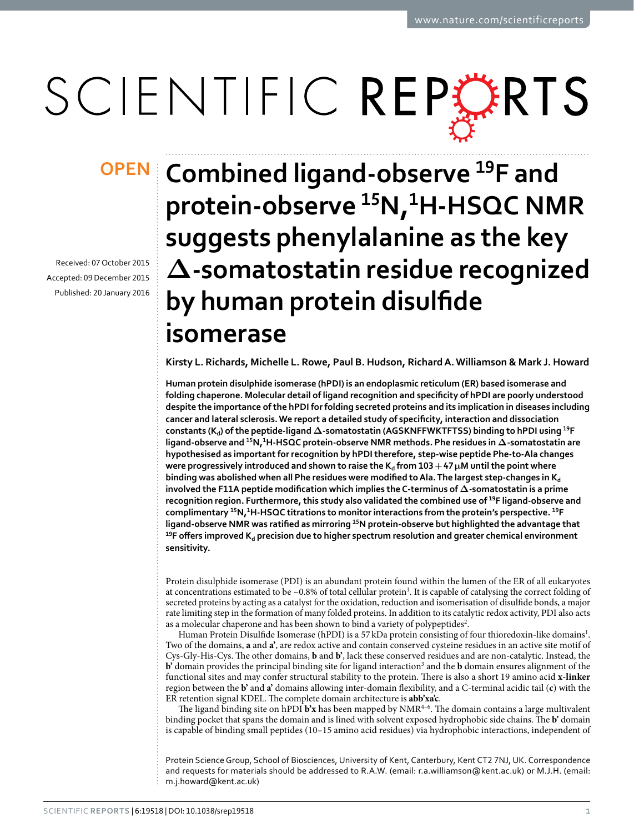# SCIENTIFIC REPERTS

Received: 07 October 2015 accepted: 09 December 2015 Published: 20 January 2016

## **Combined ligand-observe <sup>19</sup>F and OPENprotein-observe <sup>15</sup>N,<sup>1</sup>H-HSQC NMR suggests phenylalanine as the key Δ-somatostatin residue recognized by human protein disulfide isomerase**

**Kirsty L. Richards, Michelle L. Rowe, Paul B. Hudson, RichardA.Williamson & Mark J. Howard**

**Human protein disulphide isomerase (hPDI) is an endoplasmic reticulum (ER) based isomerase and folding chaperone. Molecular detail of ligand recognition and specificity of hPDI are poorly understood despite the importance of the hPDI for folding secreted proteins and its implication in diseases including cancer and lateral sclerosis. We report a detailed study of specificity, interaction and dissociation constants (Kd) of the peptide-ligand Δ-somatostatin (AGSKNFFWKTFTSS) binding to hPDI using <sup>19</sup>F ligand-observe and <sup>15</sup>N,<sup>1</sup>H-HSQC protein-observe NMR methods. Phe residues in Δ-somatostatin are hypothesised as important for recognition by hPDI therefore, step-wise peptide Phe-to-Ala changes were progressively introduced and shown to raise the**  $K_d$  **from**  $103 + 47 \mu$ **M until the point where binding was abolished when all Phe residues were modified to Ala. The largest step-changes in K<sup>d</sup> involved the F11A peptide modification which implies the C-terminus of Δ-somatostatin is a prime recognition region. Furthermore, this study also validated the combined use of <sup>19</sup>F ligand-observe and complimentary <sup>15</sup>N,<sup>1</sup>H-HSQC titrations to monitor interactions from the protein's perspective. <sup>19</sup>F ligand-observe NMR was ratified as mirroring 15N protein-observe but highlighted the advantage that** <sup>19</sup>F offers improved K<sub>d</sub> precision due to higher spectrum resolution and greater chemical environment **sensitivity.**

Protein disulphide isomerase (PDI) is an abundant protein found within the lumen of the ER of all eukaryotes at concentrations estimated to be ~0.8% of total cellular protein<sup>1</sup>. It is capable of catalysing the correct folding of secreted proteins by acting as a catalyst for the oxidation, reduction and isomerisation of disulfide bonds, a major rate limiting step in the formation of many folded proteins. In addition to its catalytic redox activity, PDI also acts as a molecular chaperone and has been shown to bind a variety of polypeptides<sup>2</sup>.

Human Protein Disulfide Isomerase (hPDI) is a 57 kDa protein consisting of four thioredoxin-like domains<sup>[1](#page-7-0)</sup>. Two of the domains, **a** and **a'**, are redox active and contain conserved cysteine residues in an active site motif of Cys-Gly-His-Cys. The other domains, **b** and **b'**, lack these conserved residues and are non-catalytic. Instead, the **b**' domain provides the principal binding site for ligand interaction<sup>[3](#page-7-2)</sup> and the **b** domain ensures alignment of the functional sites and may confer structural stability to the protein. There is also a short 19 amino acid **x-linker** region between the **b'** and **a'** domains allowing inter-domain flexibility, and a C-terminal acidic tail (**c**) with the ER retention signal KDEL. The complete domain architecture is **abb'xa'c**.

The ligand binding site on hPDI **b'x** has been mapped by NMR[4–6](#page-7-3). The domain contains a large multivalent binding pocket that spans the domain and is lined with solvent exposed hydrophobic side chains. The **b'** domain is capable of binding small peptides (10–15 amino acid residues) via hydrophobic interactions, independent of

Protein Science Group, School of Biosciences, University of Kent, Canterbury, Kent CT2 7NJ, UK. Correspondence and requests for materials should be addressed to R.A.W. (email: [r.a.williamson@kent.ac.uk](mailto:r.a.williamson@kent.ac.uk)) or M.J.H. (email: [m.j.howard@kent.ac.uk](mailto:m.j.howard@kent.ac.uk))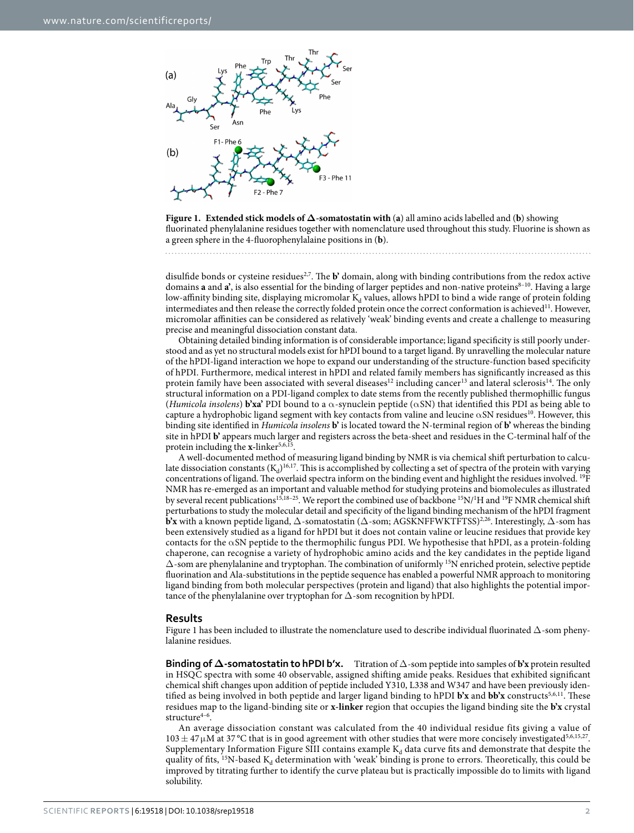

<span id="page-1-0"></span>**Figure 1. Extended stick models of Δ-somatostatin with** (**a**) all amino acids labelled and (**b**) showing fluorinated phenylalanine residues together with nomenclature used throughout this study. Fluorine is shown as a green sphere in the 4-fluorophenylalaine positions in (**b**).

disulfide bonds or cysteine residues<sup>2,[7](#page-7-4)</sup>. The **b**' domain, along with binding contributions from the redox active domains **a** and **a'**, is also essential for the binding of larger peptides and non-native proteins<sup>8-10</sup>. Having a large low-affinity binding site, displaying micromolar  $K_d$  values, allows hPDI to bind a wide range of protein folding intermediates and then release the correctly folded protein once the correct conformation is achieved<sup>[11](#page-7-6)</sup>. However, micromolar affinities can be considered as relatively 'weak' binding events and create a challenge to measuring precise and meaningful dissociation constant data.

Obtaining detailed binding information is of considerable importance; ligand specificity is still poorly understood and as yet no structural models exist for hPDI bound to a target ligand. By unravelling the molecular nature of the hPDI-ligand interaction we hope to expand our understanding of the structure-function based specificity of hPDI. Furthermore, medical interest in hPDI and related family members has significantly increased as this protein family have been associated with several diseases<sup>12</sup> including cancer<sup>13</sup> and lateral sclerosis<sup>14</sup>. The only structural information on a PDI-ligand complex to date stems from the recently published thermophillic fungus (*Humicola insolens*) **b'xa'** PDI bound to a α-synuclein peptide (αSN) that identified this PDI as being able to capture a hydrophobic ligand segment with key contacts from valine and leucine  $\alpha$ SN residues<sup>[10](#page-7-10)</sup>. However, this binding site identified in *Humicola insolens* **b'** is located toward the N-terminal region of **b'** whereas the binding site in hPDI **b'** appears much larger and registers across the beta-sheet and residues in the C-terminal half of the protein including the **x**-linker<sup>[5](#page-7-11),[6,](#page-7-12)[15](#page-8-0)</sup>.

A well-documented method of measuring ligand binding by NMR is via chemical shift perturbation to calculate dissociation constants  $(K_d)^{16,17}$  $(K_d)^{16,17}$  $(K_d)^{16,17}$  $(K_d)^{16,17}$  $(K_d)^{16,17}$ . This is accomplished by collecting a set of spectra of the protein with varying concentrations of ligand. The overlaid spectra inform on the binding event and highlight the residues involved. 19F NMR has re-emerged as an important and valuable method for studying proteins and biomolecules as illustrated by several recent publications<sup>15,18-25</sup>. We report the combined use of backbone <sup>15</sup>N/<sup>1</sup>H and <sup>19</sup>F NMR chemical shift perturbations to study the molecular detail and specificity of the ligand binding mechanism of the hPDI fragment **b'x** with a known peptide ligand,  $\Delta$ -somatostatin ( $\Delta$ -som; AGSKNFFWKTFTSS)<sup>[2](#page-7-1),26</sup>. Interestingly,  $\Delta$ -som has been extensively studied as a ligand for hPDI but it does not contain valine or leucine residues that provide key contacts for the  $\alpha$ SN peptide to the thermophilic fungus PDI. We hypothesise that hPDI, as a protein-folding chaperone, can recognise a variety of hydrophobic amino acids and the key candidates in the peptide ligand Δ-som are phenylalanine and tryptophan. The combination of uniformly 15N enriched protein, selective peptide fluorination and Ala-substitutions in the peptide sequence has enabled a powerful NMR approach to monitoring ligand binding from both molecular perspectives (protein and ligand) that also highlights the potential importance of the phenylalanine over tryptophan for  $\Delta$ -som recognition by hPDI.

#### **Results**

[Figure 1](#page-1-0) has been included to illustrate the nomenclature used to describe individual fluorinated Δ-som phenylalanine residues.

**Binding of Δ-somatostatin to hPDI b'x.** Titration of Δ-som peptide into samples of **b'x** protein resulted in HSQC spectra with some 40 observable, assigned shifting amide peaks. Residues that exhibited significant chemical shift changes upon addition of peptide included Y310, L338 and W347 and have been previously identified as being involved in both peptide and larger ligand binding to hPDI **b'x** and **bb'x** constructs<sup>[5](#page-7-11)[,6](#page-7-12),[11](#page-7-6)</sup>. These residues map to the ligand-binding site or **x-linker** region that occupies the ligand binding site the **b'x** crystal structure $4-6$ .

An average dissociation constant was calculated from the 40 individual residue fits giving a value of  $103 \pm 47 \mu$ M at 37 °C that is in good agreement with other studies that were more concisely investigated<sup>5,[6](#page-7-12),[15,](#page-8-0)27</sup>. Supplementary Information Figure SIII contains example  $K_d$  data curve fits and demonstrate that despite the quality of fits, <sup>15</sup>N-based K<sub>d</sub> determination with 'weak' binding is prone to errors. Theoretically, this could be improved by titrating further to identify the curve plateau but is practically impossible do to limits with ligand solubility.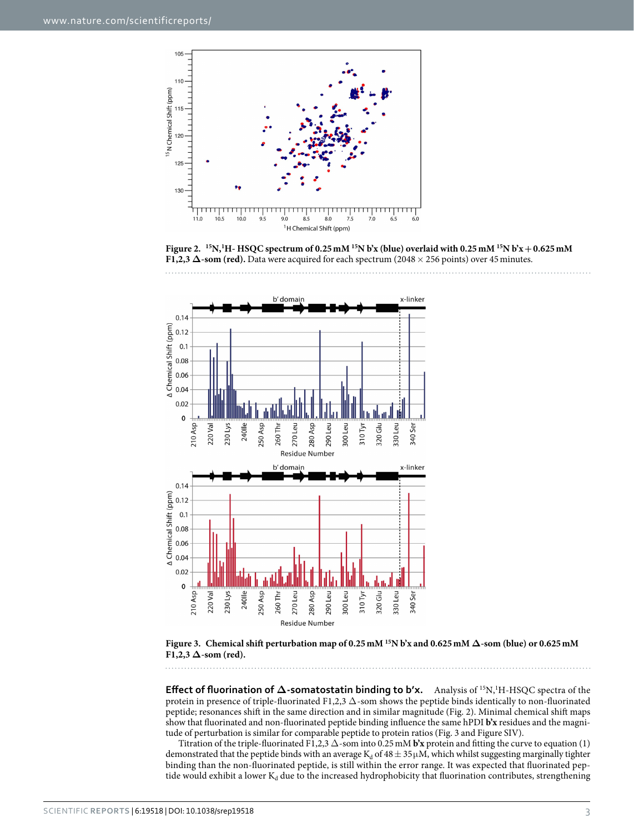

<span id="page-2-0"></span>**Figure 2. 15N,1 H- HSQC spectrum of 0.25mM 15N b'x (blue) overlaid with 0.25mM 15N b'x+0.625mM F1,2,3 Δ-som (red).** Data were acquired for each spectrum (2048× 256 points) over 45minutes.





<span id="page-2-1"></span>**Figure 3. Chemical shift perturbation map of 0.25mM 15N b'x and 0.625mM Δ-som (blue) or 0.625mM**   $F1,2,3 \Delta$ -som (red).

**Effect of fluorination of Δ-somatostatin binding to b'x.** Analysis of 15N,1 H-HSQC spectra of the protein in presence of triple-fluorinated F1,2,3  $\Delta$ -som shows the peptide binds identically to non-fluorinated peptide; resonances shift in the same direction and in similar magnitude [\(Fig. 2](#page-2-0)). Minimal chemical shift maps show that fluorinated and non-fluorinated peptide binding influence the same hPDI **b'x** residues and the magnitude of perturbation is similar for comparable peptide to protein ratios ([Fig. 3](#page-2-1) and Figure SIV).

Titration of the triple-fluorinated F1,2,3 Δ-som into 0.25mM **b'x** protein and fitting the curve to equation (1) demonstrated that the peptide binds with an average  $K_d$  of  $48 \pm 35 \mu M$ , which whilst suggesting marginally tighter binding than the non-fluorinated peptide, is still within the error range. It was expected that fluorinated peptide would exhibit a lower  $K_d$  due to the increased hydrophobicity that fluorination contributes, strengthening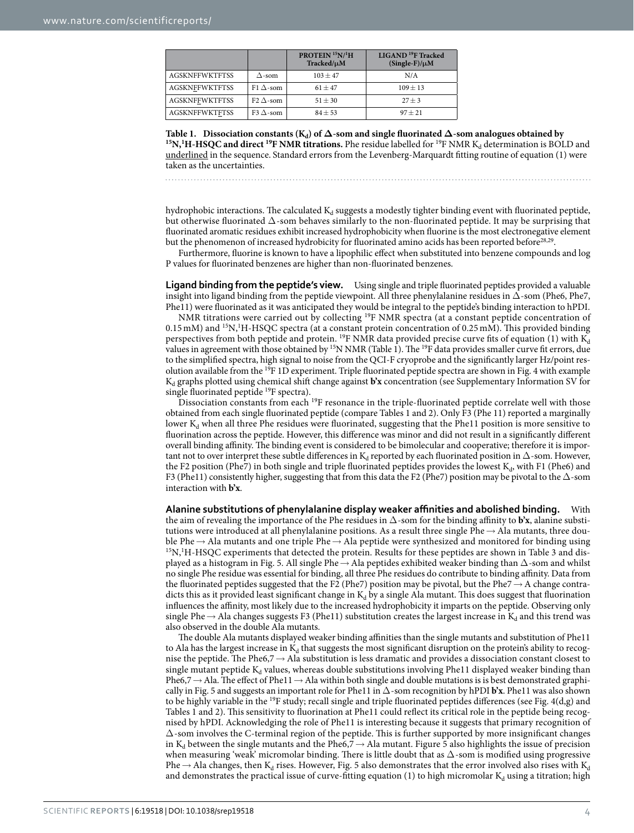<span id="page-3-0"></span>

|                       |                  | PROTEIN <sup>15</sup> N/ <sup>1</sup> H<br>Tracked/µM | LIGAND <sup>19</sup> F Tracked<br>$(Single-F)/\mu M$ |
|-----------------------|------------------|-------------------------------------------------------|------------------------------------------------------|
| <b>AGSKNFFWKTFTSS</b> | $\Delta$ -som    | $103 \pm 47$                                          | N/A                                                  |
| <b>AGSKNFFWKTFTSS</b> | F1 $\Delta$ -som | $61 + 47$                                             | $109 + 13$                                           |
| <b>AGSKNFFWKTFTSS</b> | F2 $\Delta$ -som | $51 + 30$                                             | $27 + 3$                                             |
| <b>AGSKNFFWKTFTSS</b> | F3 $\Delta$ -som | $84 + 53$                                             | $97 + 21$                                            |

Table 1. Dissociation constants (K<sub>d</sub>) of  $\Delta$ -som and single fluorinated  $\Delta$ -som analogues obtained by<br><sup>15</sup>N,<sup>1</sup>H-HSQC and direct <sup>19</sup>F NMR titrations. Phe residue labelled for <sup>19</sup>F NMR K<sub>d</sub> determination is BOLD and underlined in the sequence. Standard errors from the Levenberg-Marquardt fitting routine of equation (1) were taken as the uncertainties.

hydrophobic interactions. The calculated  $K_d$  suggests a modestly tighter binding event with fluorinated peptide, but otherwise fluorinated  $\Delta$ -som behaves similarly to the non-fluorinated peptide. It may be surprising that fluorinated aromatic residues exhibit increased hydrophobicity when fluorine is the most electronegative element but the phenomenon of increased hydrobicity for fluorinated amino acids has been reported before<sup>[28](#page-8-6),[29](#page-8-7)</sup>.

Furthermore, fluorine is known to have a lipophilic effect when substituted into benzene compounds and log P values for fluorinated benzenes are higher than non-fluorinated benzenes.

**Ligand binding from the peptide's view.** Using single and triple fluorinated peptides provided a valuable insight into ligand binding from the peptide viewpoint. All three phenylalanine residues in  $\Delta$ -som (Phe6, Phe7, Phe11) were fluorinated as it was anticipated they would be integral to the peptide's binding interaction to hPDI.

NMR titrations were carried out by collecting 19F NMR spectra (at a constant peptide concentration of 0.15 mM) and <sup>15</sup>N,<sup>1</sup>H-HSQC spectra (at a constant protein concentration of 0.25 mM). This provided binding perspectives from both peptide and protein. <sup>19</sup>F NMR data provided precise curve fits of equation (1) with  $K_d$ values in agreement with those obtained by <sup>15</sup>N NMR ([Table 1](#page-3-0)). The <sup>19</sup>F data provides smaller curve fit errors, due to the simplified spectra, high signal to noise from the QCI-F cryoprobe and the significantly larger Hz/point res-olution available from the <sup>19</sup>F 1D experiment. Triple fluorinated peptide spectra are shown in [Fig. 4](#page-4-0) with example K<sub>d</sub> graphs plotted using chemical shift change against **b'x** concentration (see Supplementary Information SV for single fluorinated peptide 19F spectra).

Dissociation constants from each <sup>19</sup>F resonance in the triple-fluorinated peptide correlate well with those obtained from each single fluorinated peptide (compare [Tables 1](#page-3-0) and [2\)](#page-5-0). Only F3 (Phe 11) reported a marginally lower  $K_d$  when all three Phe residues were fluorinated, suggesting that the Phe11 position is more sensitive to fluorination across the peptide. However, this difference was minor and did not result in a significantly different overall binding affinity. The binding event is considered to be bimolecular and cooperative; therefore it is important not to over interpret these subtle differences in K<sub>d</sub> reported by each fluorinated position in  $\Delta$ -som. However, the F2 position (Phe7) in both single and triple fluorinated peptides provides the lowest  $K_d$ , with F1 (Phe6) and F3 (Phe11) consistently higher, suggesting that from this data the F2 (Phe7) position may be pivotal to the Δ-som interaction with **b'x**.

**Alanine substitutions of phenylalanine display weaker affinities and abolished binding.** With the aim of revealing the importance of the Phe residues in Δ-som for the binding affinity to **b'x**, alanine substitutions were introduced at all phenylalanine positions. As a result three single Phe→ Ala mutants, three double Phe  $\rightarrow$  Ala mutants and one triple Phe  $\rightarrow$  Ala peptide were synthesized and monitored f[or bindi](#page-5-1)ng using  $^{15}N$ , H-HSQC experiments that detected the protein. Results for these peptides are shown in Table 3 and dis-played as a histogram in [Fig. 5](#page-5-2). All single Phe  $\rightarrow$  Ala peptides exhibited weaker binding than  $\Delta$ -som and whilst no single Phe residue was essential for binding, all three Phe residues do contribute to binding affinity. Data from the fluorinated peptides suggested that the F2 (Phe7) position may be pivotal, but the Phe7→ A change contradicts this as it provided least significant change in  $K_d$  by a single Ala mutant. This does suggest that fluorination influences the affinity, most likely due to the increased hydrophobicity it imparts on the peptide. Observing only single Phe  $\rightarrow$  Ala changes suggests F3 (Phe11) substitution creates the largest increase in K<sub>d</sub> and this trend was also observed in the double Ala mutants.

The double Ala mutants displayed weaker binding affinities than the single mutants and substitution of Phe11 to Ala has the largest increase in  $K_d$  that suggests the most significant disruption on the protein's ability to recognise the peptide. The Phe6,7→ Ala substitution is less dramatic and provides a dissociation constant closest to single mutant peptide  $K_d$  values, whereas double substitutions involving Phe11 displayed weaker binding than Phe6,7  $\rightarrow$  Ala. The effect of Phe11  $\rightarrow$  Ala within both single and double mutations is is best demonstrated graphically in [Fig. 5](#page-5-2) and suggests an important role for Phe11 in Δ-som recognition by hPDI **b'x**. Phe11 was also shown to be highly variable in the <sup>19</sup>F study; recall single and triple fluorinated peptides differences (see Fig.  $4(d,g)$  and [Tables 1](#page-3-0) and [2\)](#page-5-0). This sensitivity to fluorination at Phe11 could reflect its critical role in the peptide being recognised by hPDI. Acknowledging the role of Phe11 is interesting because it suggests that primary recognition of Δ-som involves the C-terminal region of the peptide. This is further supported by more insignificant changes in K<sub>d</sub> between the single mutants and the Phe6,7  $\rightarrow$  Ala mutant. [Figure 5](#page-5-2) also highlights the issue of precision when measuring 'weak' micromolar binding. There is little doubt that as  $\Delta$ -som is modified using progressive Phe  $\rightarrow$  Ala changes, then K<sub>d</sub> rises. However, [Fig. 5](#page-5-2) also demonstrates that the error involved also rises with K<sub>d</sub> and demonstrates the practical issue of curve-fitting equation (1) to high micromolar  $K_d$  using a titration; high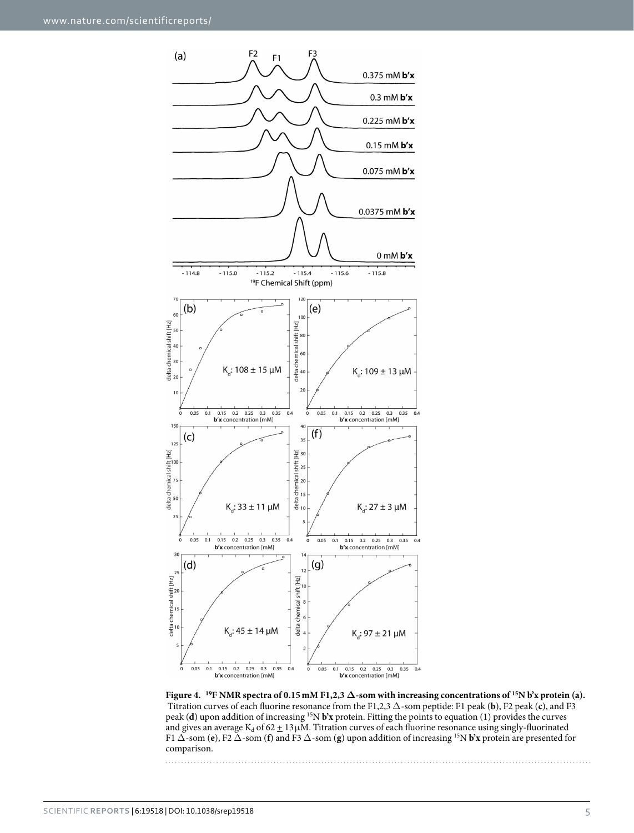

<span id="page-4-0"></span>**Figure 4. 19F NMR spectra of 0.15mM F1,2,3 Δ-som with increasing concentrations of 15N b'x protein (a).** Titration curves of each fluorine resonance from the F1,2,3 Δ-som peptide: F1 peak (**b**), F2 peak (**c**), and F3 peak (**d**) upon addition of increasing 15N **b'x** protein. Fitting the points to equation (1) provides the curves and gives an average K<sub>d</sub> of 62  $\pm$  13  $\mu$ M. Titration curves of each fluorine resonance using singly-fluorinated F1 Δ-som (**e**), F2 Δ-som (**f**) and F3 Δ-som (**g**) upon addition of increasing 15N **b'x** protein are presented for comparison.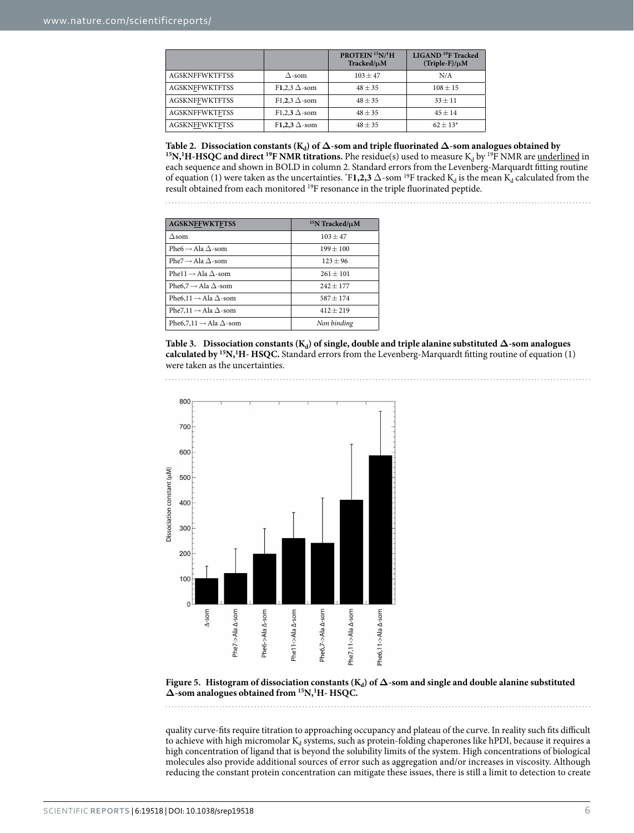<span id="page-5-0"></span>

|                       |                      | PROTEIN <sup>15</sup> N/ <sup>1</sup> H<br>Tracked/µM | LIGAND <sup>19</sup> F Tracked<br>$(Triple-F)/\mu M$ |
|-----------------------|----------------------|-------------------------------------------------------|------------------------------------------------------|
| <b>AGSKNFFWKTFTSS</b> | $\Delta$ -som        | $103 + 47$                                            | N/A                                                  |
| <b>AGSKNFFWKTFTSS</b> | F1.2.3 $\Delta$ -som | $48 + 35$                                             | $108 \pm 15$                                         |
| <b>AGSKNFFWKTFTSS</b> | F1.2.3 $\Delta$ -som | $48 + 35$                                             | $33 + 11$                                            |
| <b>AGSKNFFWKTFTSS</b> | F1.2.3 $\Delta$ -som | $48 \pm 35$                                           | $45 + 14$                                            |
| <b>AGSKNFFWKTFTSS</b> | F1,2,3 $\Delta$ -som | $48 + 35$                                             | $62 + 13*$                                           |

Table 2. Dissociation constants (K<sub>d</sub>) of  $\Delta$ -som and triple fluorinated  $\Delta$ -som analogues obtained by<br><sup>15</sup>N,<sup>1</sup>H-HSQC and direct <sup>19</sup>F NMR titrations. Phe residue(s) used to measure K<sub>d</sub> by <sup>19</sup>F NMR are <u>underlined</u> i each sequence and shown in BOLD in column 2. Standard errors from the Levenberg-Marquardt fitting routine of equation (1) were taken as the uncertainties.  $F1,2,3 \Delta$ -som <sup>19</sup>F tracked K<sub>d</sub> is the mean K<sub>d</sub> calculated from the result obtained from each monitored 19F resonance in the triple fluorinated peptide.

<span id="page-5-1"></span>

| <b>AGSKNFFWKTFTSS</b>                     | $15N$ Tracked/ $\mu$ M |  |
|-------------------------------------------|------------------------|--|
| $\Delta$ som                              | $103 + 47$             |  |
| Phe6 $\rightarrow$ Ala $\Delta$ -som      | $199 + 100$            |  |
| Phe $7 \rightarrow$ Ala $\Delta$ -som     | $123 + 96$             |  |
| Phe11 $\rightarrow$ Ala $\Delta$ -som     | $261 + 101$            |  |
| Phe6,7 $\rightarrow$ Ala $\Delta$ -som    | $242 + 177$            |  |
| Phe6,11 $\rightarrow$ Ala $\Delta$ -som   | $587 + 174$            |  |
| Phe7,11 $\rightarrow$ Ala $\Delta$ -som   | $412 + 219$            |  |
| Phe6,7,11 $\rightarrow$ Ala $\Delta$ -som | Non binding            |  |

**Table 3.** Dissociation constants ( $K_d$ ) of single, double and triple alanine substituted  $\Delta$ -som analogues **calculated by 15N,1 H- HSQC.** Standard errors from the Levenberg-Marquardt fitting routine of equation (1) were taken as the uncertainties.



<span id="page-5-2"></span>Figure 5. Histogram of dissociation constants ( $K_d$ ) of  $\Delta$ -som and single and double alanine substituted **Δ-som analogues obtained from 15N,1 H- HSQC.** 

quality curve-fits require titration to approaching occupancy and plateau of the curve. In reality such fits difficult to achieve with high micromolar  $K_d$  systems, such as protein-folding chaperones like hPDI, because it requires a high concentration of ligand that is beyond the solubility limits of the system. High concentrations of biological molecules also provide additional sources of error such as aggregation and/or increases in viscosity. Although reducing the constant protein concentration can mitigate these issues, there is still a limit to detection to create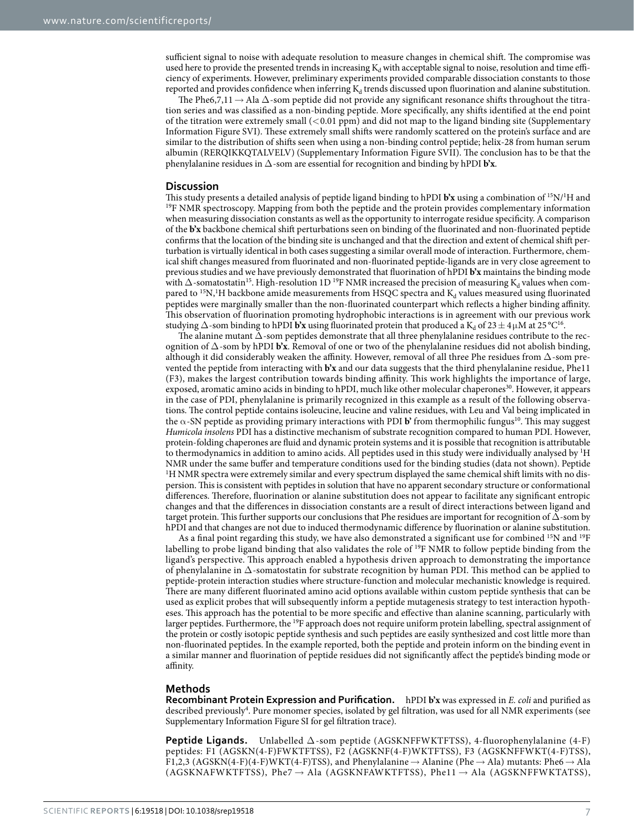sufficient signal to noise with adequate resolution to measure changes in chemical shift. The compromise was used here to provide the presented trends in increasing  $K_d$  with acceptable signal to noise, resolution and time efficiency of experiments. However, preliminary experiments provided comparable dissociation constants to those reported and provides confidence when inferring  $K_d$  trends discussed upon fluorination and alanine substitution.

The Phe6,7,11  $\rightarrow$  Ala  $\Delta$ -som peptide did not provide any significant resonance shifts throughout the titration series and was classified as a non-binding peptide. More specifically, any shifts identified at the end point of the titration were extremely small (<0.01 ppm) and did not map to the ligand binding site (Supplementary Information Figure SVI). These extremely small shifts were randomly scattered on the protein's surface and are similar to the distribution of shifts seen when using a non-binding control peptide; helix-28 from human serum albumin (RERQIKKQTALVELV) (Supplementary Information Figure SVII). The conclusion has to be that the phenylalanine residues in Δ-som are essential for recognition and binding by hPDI **b'x**.

#### **Discussion**

This study presents a detailed analysis of peptide ligand binding to hPDI **b'x** using a combination of 15N/1 <sup>19</sup>F NMR spectroscopy. Mapping from both the peptide and the protein provides complementary information when measuring dissociation constants as well as the opportunity to interrogate residue specificity. A comparison of the **b'x** backbone chemical shift perturbations seen on binding of the fluorinated and non-fluorinated peptide confirms that the location of the binding site is unchanged and that the direction and extent of chemical shift perturbation is virtually identical in both cases suggesting a similar overall mode of interaction. Furthermore, chemical shift changes measured from fluorinated and non-fluorinated peptide-ligands are in very close agreement to previous studies and we have previously demonstrated that fluorination of hPDI **b'x** maintains the binding mode with  $\Delta$ -somatostatin<sup>[15](#page-8-0)</sup>. High-resolution 1D<sup>19</sup>F NMR increased the precision of measuring K<sub>d</sub> values when compared to  $^{15}N$ ,<sup>1</sup>H backbone amide measurements from HSQC spectra and  $K_d$  values measured using fluorinated peptides were marginally smaller than the non-fluorinated counterpart which reflects a higher binding affinity. This observation of fluorination promoting hydrophobic interactions is in agreement with our previous work studying  $\Delta$ -som binding to hPDI **b'x** using fluorinated protein that produced a K<sub>d</sub> of 23 ± 4µM at 25 °C<sup>[16](#page-8-1)</sup>.

The alanine mutant Δ-som peptides demonstrate that all three phenylalanine residues contribute to the recognition of Δ-som by hPDI **b'x**. Removal of one or two of the phenylalanine residues did not abolish binding, although it did considerably weaken the affinity. However, removal of all three Phe residues from  $\Delta$ -som prevented the peptide from interacting with **b'x** and our data suggests that the third phenylalanine residue, Phe11 (F3), makes the largest contribution towards binding affinity. This work highlights the importance of large, exposed, aromatic amino acids in binding to hPDI, much like other molecular chaperones<sup>30</sup>. However, it appears in the case of PDI, phenylalanine is primarily recognized in this example as a result of the following observations. The control peptide contains isoleucine, leucine and valine residues, with Leu and Val being implicated in the  $\alpha$ -SN peptide as providing primary interactions with PDI **b**' from thermophilic fungus<sup>10</sup>. This may suggest *Humicola insolens* PDI has a distinctive mechanism of substrate recognition compared to human PDI. However, protein-folding chaperones are fluid and dynamic protein systems and it is possible that recognition is attributable to thermodynamics in addition to amino acids. All peptides used in this study were individually analysed by 1 H NMR under the same buffer and temperature conditions used for the binding studies (data not shown). Peptide <sup>1</sup>H NMR spectra were extremely similar and every spectrum displayed the same chemical shift limits with no dispersion. This is consistent with peptides in solution that have no apparent secondary structure or conformational differences. Therefore, fluorination or alanine substitution does not appear to facilitate any significant entropic changes and that the differences in dissociation constants are a result of direct interactions between ligand and target protein. This further supports our conclusions that Phe residues are important for recognition of Δ-som by hPDI and that changes are not due to induced thermodynamic difference by fluorination or alanine substitution.

As a final point regarding this study, we have also demonstrated a significant use for combined 15N and 19F labelling to probe ligand binding that also validates the role of 19F NMR to follow peptide binding from the ligand's perspective. This approach enabled a hypothesis driven approach to demonstrating the importance of phenylalanine in Δ-somatostatin for substrate recognition by human PDI. This method can be applied to peptide-protein interaction studies where structure-function and molecular mechanistic knowledge is required. There are many different fluorinated amino acid options available within custom peptide synthesis that can be used as explicit probes that will subsequently inform a peptide mutagenesis strategy to test interaction hypotheses. This approach has the potential to be more specific and effective than alanine scanning, particularly with larger peptides. Furthermore, the 19F approach does not require uniform protein labelling, spectral assignment of the protein or costly isotopic peptide synthesis and such peptides are easily synthesized and cost little more than non-fluorinated peptides. In the example reported, both the peptide and protein inform on the binding event in a similar manner and fluorination of peptide residues did not significantly affect the peptide's binding mode or affinity.

#### **Methods**

**Recombinant Protein Expression and Purification.** hPDI **b'x** was expressed in *E. coli* and purified as described previously<sup>4</sup>. Pure monomer species, isolated by gel filtration, was used for all NMR experiments (see Supplementary Information Figure SI for gel filtration trace).

**Peptide Ligands.** Unlabelled Δ-som peptide (AGSKNFFWKTFTSS), 4-fluorophenylalanine (4-F) peptides: F1 (AGSKN(4-F)FWKTFTSS), F2 (AGSKNF(4-F)WKTFTSS), F3 (AGSKNFFWKT(4-F)TSS), F1,2,3 (AGSKN(4-F)(4-F)WKT(4-F)TSS), and Phenylalanine  $\rightarrow$  Alanine (Phe $\rightarrow$  Ala) mutants: Phe6  $\rightarrow$  Ala (AGSKNAFWKTFTSS), Phe7  $\rightarrow$  Ala (AGSKNFAWKTFTSS), Phe11  $\rightarrow$  Ala (AGSKNFFWKTATSS),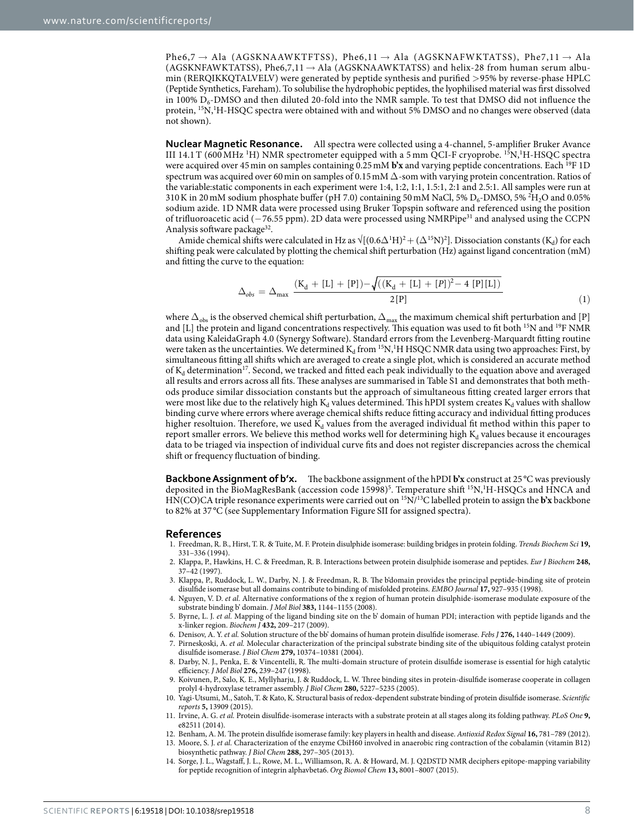Phe6,7  $\rightarrow$  Ala (AGSKNAAWKTFTSS), Phe6,11  $\rightarrow$  Ala (AGSKNAFWKTATSS), Phe7,11  $\rightarrow$  Ala (AGSKNFAWKTATSS), Phe6,7,11  $\rightarrow$  Ala (AGSKNAAWKTATSS) and helix-28 from human serum albumin (RERQIKKQTALVELV) were generated by peptide synthesis and purified >95% by reverse-phase HPLC (Peptide Synthetics, Fareham). To solubilise the hydrophobic peptides, the lyophilised material was first dissolved in 100%  $D_6$ -DMSO and then diluted 20-fold into the NMR sample. To test that DMSO did not influence the protein, <sup>15</sup>N,<sup>1</sup>H-HSQC spectra were obtained with and without 5% DMSO and no changes were observed (data not shown).

**Nuclear Magnetic Resonance.** All spectra were collected using a 4-channel, 5-amplifier Bruker Avance III 14.1 T (600 MHz <sup>1</sup>H) NMR spectrometer equipped with a 5 mm QCI-F cryoprobe. <sup>15</sup>N,<sup>1</sup>H-HSQC spectra were acquired over 45min on samples containing 0.25mM **b'x** and varying peptide concentrations. Each 19F 1D spectrum was acquired over 60 min on samples of 0.15 mM  $\Delta$ -som with varying protein concentration. Ratios of the variable:static components in each experiment were 1:4, 1:2, 1:1, 1.5:1, 2:1 and 2.5:1. All samples were run at 310 K in 20 mM sodium phosphate buffer (pH 7.0) containing 50 mM NaCl, 5%  $D_6$ -DMSO, 5% <sup>2</sup>H<sub>2</sub>O and 0.05% sodium azide. 1D NMR data were processed using Bruker Topspin software and referenced using the position of trifluoroacetic acid (−76.55 ppm). 2D data were processed using NMRPip[e31](#page-8-9) and analysed using the CCPN Analysis software package<sup>[32](#page-8-10)</sup>.

Amide chemical shifts were calculated in Hz as  $\sqrt{(0.6\Delta^1H)^2 + (\Delta^{15}N)^2}$ . Dissociation constants (K<sub>d</sub>) for each shifting peak were calculated by plotting the chemical shift perturbation (Hz) against ligand concentration (mM) and fitting the curve to the equation:

$$
\Delta_{obs} = \Delta_{\text{max}} \frac{(K_d + [L] + [P]) - \sqrt{((K_d + [L] + [P])^2 - 4 [P][L])}}{2[P]} \tag{1}
$$

where  $\Delta_{\rm obs}$  is the observed chemical shift perturbation,  $\Delta_{\rm max}$  the maximum chemical shift perturbation and [P] and [L] the protein and ligand concentrations respectively. This equation was used to fit both <sup>15</sup>N and <sup>19</sup>F NMR data using KaleidaGraph 4.0 (Synergy Software). Standard errors from the Levenberg-Marquardt fitting routine were taken as the uncertainties. We determined  $K_d$  from  $^{15}N$ , <sup>1</sup>H HSQC NMR data using two approaches: First, by simultaneous fitting all shifts which are averaged to create a single plot, which is considered an accurate method of  $K_d$  determination<sup>[17](#page-8-2)</sup>. Second, we tracked and fitted each peak individually to the equation above and averaged all results and errors across all fits. These analyses are summarised in Table S1 and demonstrates that both methods produce similar dissociation constants but the approach of simultaneous fitting created larger errors that were most like due to the relatively high  $K_d$  values determined. This hPDI system creates  $K_d$  values with shallow binding curve where errors where average chemical shifts reduce fitting accuracy and individual fitting produces higher resoltuion. Therefore, we used  $K_d$  values from the averaged individual fit method within this paper to report smaller errors. We believe this method works well for determining high  $K_d$  values because it encourages data to be triaged via inspection of individual curve fits and does not register discrepancies across the chemical shift or frequency fluctuation of binding.

**Backbone Assignment of b'x.** The backbone assignment of the hPDI **b'x** construct at 25 °C was previously deposited in the BioMagResBank (accession code 1[5](#page-7-11)998)<sup>5</sup>. Temperature shift <sup>15</sup>N,<sup>1</sup>H-HSQCs and HNCA and HN(CO)CA triple resonance experiments were carried out on 15N/13C labelled protein to assign the **b'x** backbone to 82% at 37 °C (see Supplementary Information Figure SII for assigned spectra).

#### **References**

- <span id="page-7-0"></span>1. Freedman, R. B., Hirst, T. R. & Tuite, M. F. Protein disulphide isomerase: building bridges in protein folding. *Trends Biochem Sci* **19,** 331–336 (1994).
- <span id="page-7-1"></span>2. Klappa, P., Hawkins, H. C. & Freedman, R. B. Interactions between protein disulphide isomerase and peptides. *Eur J Biochem* **248,** 37–42 (1997).
- <span id="page-7-2"></span>3. Klappa, P., Ruddock, L. W., Darby, N. J. & Freedman, R. B. The b'domain provides the principal peptide-binding site of protein disulfide isomerase but all domains contribute to binding of misfolded proteins. *EMBO Journal* **17,** 927–935 (1998).
- <span id="page-7-3"></span>4. Nguyen, V. D. *et al.* Alternative conformations of the x region of human protein disulphide-isomerase modulate exposure of the substrate binding b' domain. *J Mol Biol* **383,** 1144–1155 (2008).
- <span id="page-7-11"></span>5. Byrne, L. J. *et al.* Mapping of the ligand binding site on the b' domain of human PDI; interaction with peptide ligands and the x-linker region. *Biochem J* **432,** 209–217 (2009).
- <span id="page-7-12"></span>6. Denisov, A. Y. *et al.* Solution structure of the bb' domains of human protein disulfide isomerase. *Febs J* **276,** 1440–1449 (2009).
- <span id="page-7-4"></span>7. Pirneskoski, A. *et al.* Molecular characterization of the principal substrate binding site of the ubiquitous folding catalyst protein disulfide isomerase. *J Biol Chem* **279,** 10374–10381 (2004).
- <span id="page-7-5"></span>8. Darby, N. J., Penka, E. & Vincentelli, R. The multi-domain structure of protein disulfide isomerase is essential for high catalytic efficiency. *J Mol Biol* **276,** 239–247 (1998).
- 9. Koivunen, P., Salo, K. E., Myllyharju, J. & Ruddock, L. W. Three binding sites in protein-disulfide isomerase cooperate in collagen prolyl 4-hydroxylase tetramer assembly. *J Biol Chem* **280,** 5227–5235 (2005).
- <span id="page-7-10"></span>10. Yagi-Utsumi, M., Satoh, T. & Kato, K. Structural basis of redox-dependent substrate binding of protein disulfide isomerase. *Scientific reports* **5,** 13909 (2015).
- <span id="page-7-6"></span>11. Irvine, A. G. *et al.* Protein disulfide-isomerase interacts with a substrate protein at all stages along its folding pathway. *PLoS One* **9,** e82511 (2014).
- <span id="page-7-7"></span>12. Benham, A. M. The protein disulfide isomerase family: key players in health and disease. *Antioxid Redox Signal* **16,** 781–789 (2012).
- <span id="page-7-8"></span>13. Moore, S. J. *et al.* Characterization of the enzyme CbiH60 involved in anaerobic ring contraction of the cobalamin (vitamin B12) biosynthetic pathway. *J Biol Chem* **288,** 297–305 (2013).
- <span id="page-7-9"></span>14. Sorge, J. L., Wagstaff, J. L., Rowe, M. L., Williamson, R. A. & Howard, M. J. Q2DSTD NMR deciphers epitope-mapping variability for peptide recognition of integrin alphavbeta6. *Org Biomol Chem* **13,** 8001–8007 (2015).